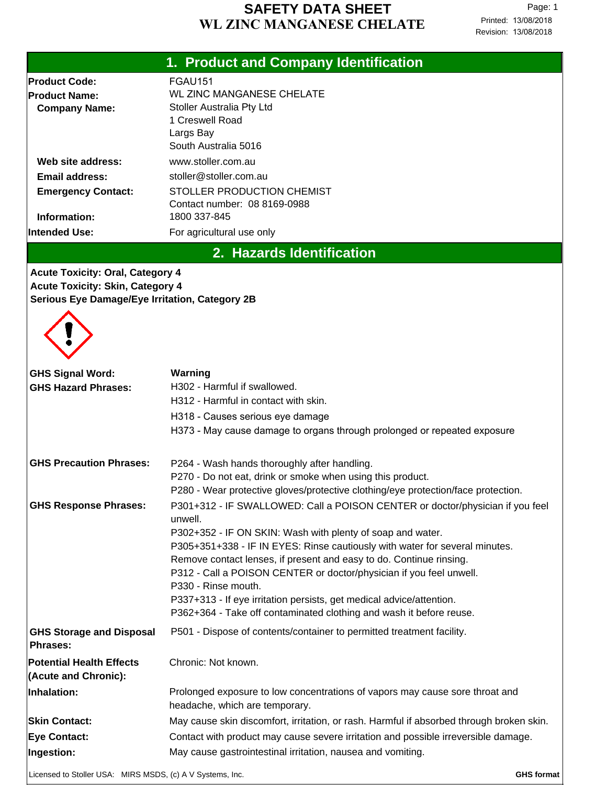#### **WL ZINC MANGANESE CHELATE SAFETY DATA SHEET**

Printed: 13/08/2018 Revision: 13/08/2018 Page: 1

# **1. Product and Company Identification**

| <b>Product Code:</b>      | FGAU151                          |
|---------------------------|----------------------------------|
| <b>Product Name:</b>      | <b>WL ZINC MANGANESE CHELATE</b> |
| <b>Company Name:</b>      | <b>Stoller Australia Pty Ltd</b> |
|                           | 1 Creswell Road                  |
|                           | Largs Bay                        |
|                           | South Australia 5016             |
| Web site address:         | www.stoller.com.au               |
| Email address:            | stoller@stoller.com.au           |
| <b>Emergency Contact:</b> | STOLLER PRODUCTION CHEMIST       |
|                           | Contact number: 08 8169-0988     |
| Information:              | 1800 337-845                     |
| <b>Intended Use:</b>      | For agricultural use only        |

**2. Hazards Identification**

**Acute Toxicity: Oral, Category 4 Acute Toxicity: Skin, Category 4 Serious Eye Damage/Eye Irritation, Category 2B**



| <b>GHS Signal Word:</b><br><b>GHS Hazard Phrases:</b>     | Warning<br>H302 - Harmful if swallowed.                                                                        |                   |
|-----------------------------------------------------------|----------------------------------------------------------------------------------------------------------------|-------------------|
|                                                           | H312 - Harmful in contact with skin.                                                                           |                   |
|                                                           | H318 - Causes serious eye damage                                                                               |                   |
|                                                           | H373 - May cause damage to organs through prolonged or repeated exposure                                       |                   |
| <b>GHS Precaution Phrases:</b>                            | P264 - Wash hands thoroughly after handling.                                                                   |                   |
|                                                           | P270 - Do not eat, drink or smoke when using this product.                                                     |                   |
|                                                           | P280 - Wear protective gloves/protective clothing/eye protection/face protection.                              |                   |
| <b>GHS Response Phrases:</b>                              | P301+312 - IF SWALLOWED: Call a POISON CENTER or doctor/physician if you feel<br>unwell.                       |                   |
|                                                           | P302+352 - IF ON SKIN: Wash with plenty of soap and water.                                                     |                   |
|                                                           | P305+351+338 - IF IN EYES: Rinse cautiously with water for several minutes.                                    |                   |
|                                                           | Remove contact lenses, if present and easy to do. Continue rinsing.                                            |                   |
|                                                           | P312 - Call a POISON CENTER or doctor/physician if you feel unwell.<br>P330 - Rinse mouth.                     |                   |
|                                                           | P337+313 - If eye irritation persists, get medical advice/attention.                                           |                   |
|                                                           | P362+364 - Take off contaminated clothing and wash it before reuse.                                            |                   |
| <b>GHS Storage and Disposal</b><br><b>Phrases:</b>        | P501 - Dispose of contents/container to permitted treatment facility.                                          |                   |
| <b>Potential Health Effects</b><br>(Acute and Chronic):   | Chronic: Not known.                                                                                            |                   |
| Inhalation:                                               | Prolonged exposure to low concentrations of vapors may cause sore throat and<br>headache, which are temporary. |                   |
| <b>Skin Contact:</b>                                      | May cause skin discomfort, irritation, or rash. Harmful if absorbed through broken skin.                       |                   |
| <b>Eye Contact:</b>                                       | Contact with product may cause severe irritation and possible irreversible damage.                             |                   |
| Ingestion:                                                | May cause gastrointestinal irritation, nausea and vomiting.                                                    |                   |
| Licensed to Stoller USA: MIRS MSDS, (c) A V Systems, Inc. |                                                                                                                | <b>GHS format</b> |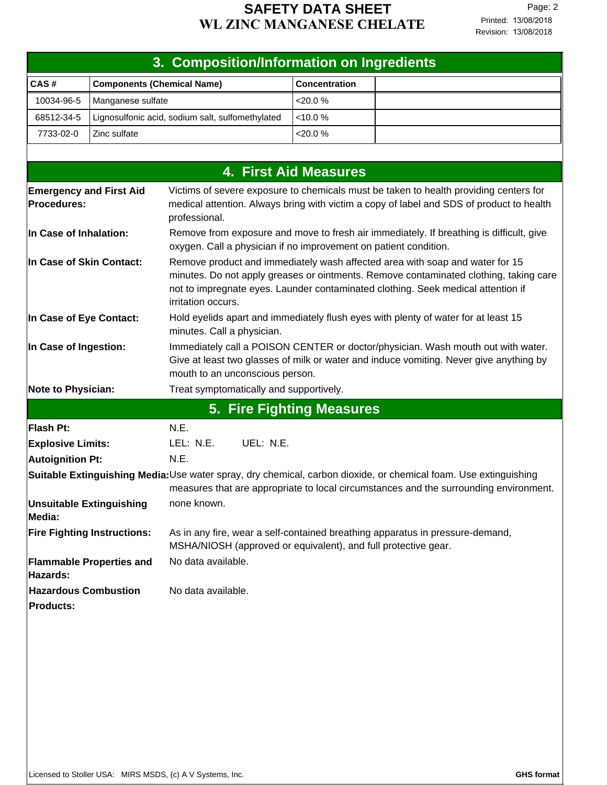| 3. Composition/Information on Ingredients       |                                                  |                                                                                                                                                                                                                                                                                 |                                                                                                                                                             |                                                                                                                                                                                                          |  |
|-------------------------------------------------|--------------------------------------------------|---------------------------------------------------------------------------------------------------------------------------------------------------------------------------------------------------------------------------------------------------------------------------------|-------------------------------------------------------------------------------------------------------------------------------------------------------------|----------------------------------------------------------------------------------------------------------------------------------------------------------------------------------------------------------|--|
| CAS#                                            | <b>Components (Chemical Name)</b>                |                                                                                                                                                                                                                                                                                 | <b>Concentration</b>                                                                                                                                        |                                                                                                                                                                                                          |  |
| 10034-96-5                                      | Manganese sulfate                                |                                                                                                                                                                                                                                                                                 | <20.0 %                                                                                                                                                     |                                                                                                                                                                                                          |  |
| 68512-34-5                                      | Lignosulfonic acid, sodium salt, sulfomethylated |                                                                                                                                                                                                                                                                                 | < 10.0 %                                                                                                                                                    |                                                                                                                                                                                                          |  |
| 7733-02-0                                       | Zinc sulfate                                     |                                                                                                                                                                                                                                                                                 | $<$ 20.0 $%$                                                                                                                                                |                                                                                                                                                                                                          |  |
|                                                 |                                                  |                                                                                                                                                                                                                                                                                 |                                                                                                                                                             |                                                                                                                                                                                                          |  |
|                                                 |                                                  |                                                                                                                                                                                                                                                                                 | <b>4. First Aid Measures</b>                                                                                                                                |                                                                                                                                                                                                          |  |
| <b>Emergency and First Aid</b>                  |                                                  |                                                                                                                                                                                                                                                                                 |                                                                                                                                                             | Victims of severe exposure to chemicals must be taken to health providing centers for                                                                                                                    |  |
| Procedures:                                     |                                                  | medical attention. Always bring with victim a copy of label and SDS of product to health<br>professional.                                                                                                                                                                       |                                                                                                                                                             |                                                                                                                                                                                                          |  |
| In Case of Inhalation:                          |                                                  |                                                                                                                                                                                                                                                                                 | Remove from exposure and move to fresh air immediately. If breathing is difficult, give<br>oxygen. Call a physician if no improvement on patient condition. |                                                                                                                                                                                                          |  |
| In Case of Skin Contact:                        |                                                  | Remove product and immediately wash affected area with soap and water for 15<br>minutes. Do not apply greases or ointments. Remove contaminated clothing, taking care<br>not to impregnate eyes. Launder contaminated clothing. Seek medical attention if<br>irritation occurs. |                                                                                                                                                             |                                                                                                                                                                                                          |  |
| In Case of Eye Contact:                         |                                                  | minutes. Call a physician.                                                                                                                                                                                                                                                      |                                                                                                                                                             | Hold eyelids apart and immediately flush eyes with plenty of water for at least 15                                                                                                                       |  |
| In Case of Ingestion:                           |                                                  | mouth to an unconscious person.                                                                                                                                                                                                                                                 |                                                                                                                                                             | Immediately call a POISON CENTER or doctor/physician. Wash mouth out with water.<br>Give at least two glasses of milk or water and induce vomiting. Never give anything by                               |  |
| <b>Note to Physician:</b>                       |                                                  | Treat symptomatically and supportively.                                                                                                                                                                                                                                         |                                                                                                                                                             |                                                                                                                                                                                                          |  |
|                                                 |                                                  | 5. Fire Fighting Measures                                                                                                                                                                                                                                                       |                                                                                                                                                             |                                                                                                                                                                                                          |  |
| Flash Pt:                                       |                                                  | N.E.                                                                                                                                                                                                                                                                            |                                                                                                                                                             |                                                                                                                                                                                                          |  |
| <b>Explosive Limits:</b>                        |                                                  | LEL: N.E.<br>UEL: N.E.                                                                                                                                                                                                                                                          |                                                                                                                                                             |                                                                                                                                                                                                          |  |
| Autoignition Pt:                                |                                                  | N.E.                                                                                                                                                                                                                                                                            |                                                                                                                                                             |                                                                                                                                                                                                          |  |
|                                                 |                                                  |                                                                                                                                                                                                                                                                                 |                                                                                                                                                             | Suitable Extinguishing Media:Use water spray, dry chemical, carbon dioxide, or chemical foam. Use extinguishing<br>measures that are appropriate to local circumstances and the surrounding environment. |  |
| <b>Unsuitable Extinguishing</b><br>Media:       |                                                  | none known.                                                                                                                                                                                                                                                                     |                                                                                                                                                             |                                                                                                                                                                                                          |  |
|                                                 | <b>Fire Fighting Instructions:</b>               | MSHA/NIOSH (approved or equivalent), and full protective gear.                                                                                                                                                                                                                  |                                                                                                                                                             | As in any fire, wear a self-contained breathing apparatus in pressure-demand,                                                                                                                            |  |
| Hazards:                                        | <b>Flammable Properties and</b>                  | No data available.                                                                                                                                                                                                                                                              |                                                                                                                                                             |                                                                                                                                                                                                          |  |
| <b>Hazardous Combustion</b><br><b>Products:</b> |                                                  | No data available.                                                                                                                                                                                                                                                              |                                                                                                                                                             |                                                                                                                                                                                                          |  |
|                                                 |                                                  |                                                                                                                                                                                                                                                                                 |                                                                                                                                                             |                                                                                                                                                                                                          |  |
|                                                 |                                                  |                                                                                                                                                                                                                                                                                 |                                                                                                                                                             |                                                                                                                                                                                                          |  |
|                                                 |                                                  |                                                                                                                                                                                                                                                                                 |                                                                                                                                                             |                                                                                                                                                                                                          |  |
|                                                 |                                                  |                                                                                                                                                                                                                                                                                 |                                                                                                                                                             |                                                                                                                                                                                                          |  |
|                                                 |                                                  |                                                                                                                                                                                                                                                                                 |                                                                                                                                                             |                                                                                                                                                                                                          |  |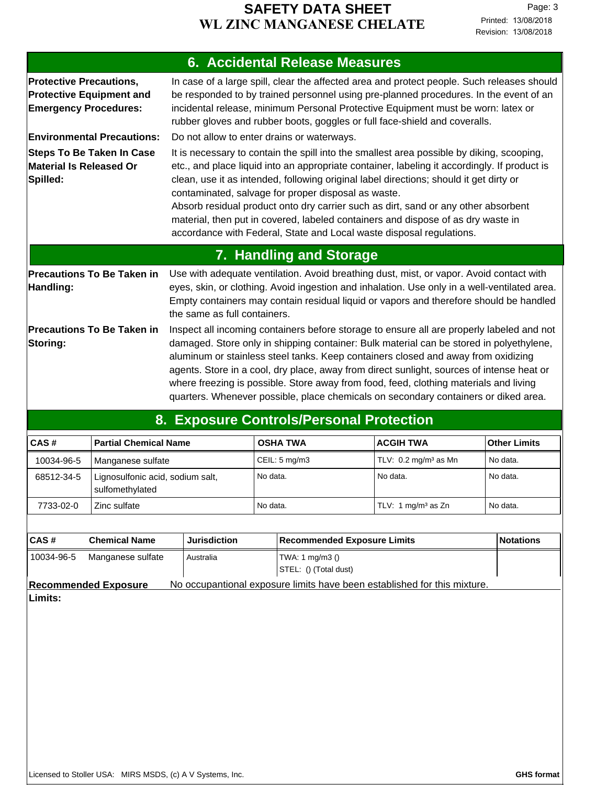#### **SAFETY DATA SHEET**<br>**NC MANCANESE CHELATE** Printed: 13/08/2018 **WL ZINC MANGANESE CHELATE**

|                                                                                                   | <b>6. Accidental Release Measures</b>                                                                                                                                                                                                                                                                                                                                                                                                                                                                                                                                                        |
|---------------------------------------------------------------------------------------------------|----------------------------------------------------------------------------------------------------------------------------------------------------------------------------------------------------------------------------------------------------------------------------------------------------------------------------------------------------------------------------------------------------------------------------------------------------------------------------------------------------------------------------------------------------------------------------------------------|
| <b>Protective Precautions,</b><br><b>Protective Equipment and</b><br><b>Emergency Procedures:</b> | In case of a large spill, clear the affected area and protect people. Such releases should<br>be responded to by trained personnel using pre-planned procedures. In the event of an<br>incidental release, minimum Personal Protective Equipment must be worn: latex or<br>rubber gloves and rubber boots, goggles or full face-shield and coveralls.                                                                                                                                                                                                                                        |
| <b>Environmental Precautions:</b>                                                                 | Do not allow to enter drains or waterways.                                                                                                                                                                                                                                                                                                                                                                                                                                                                                                                                                   |
| <b>Steps To Be Taken In Case</b><br><b>Material Is Released Or</b><br>Spilled:                    | It is necessary to contain the spill into the smallest area possible by diking, scooping,<br>etc., and place liquid into an appropriate container, labeling it accordingly. If product is<br>clean, use it as intended, following original label directions; should it get dirty or<br>contaminated, salvage for proper disposal as waste.<br>Absorb residual product onto dry carrier such as dirt, sand or any other absorbent<br>material, then put in covered, labeled containers and dispose of as dry waste in<br>accordance with Federal, State and Local waste disposal regulations. |
|                                                                                                   | 7. Handling and Storage                                                                                                                                                                                                                                                                                                                                                                                                                                                                                                                                                                      |
| <b>Precautions To Be Taken in</b><br>Handling:                                                    | Use with adequate ventilation. Avoid breathing dust, mist, or vapor. Avoid contact with<br>eyes, skin, or clothing. Avoid ingestion and inhalation. Use only in a well-ventilated area.<br>Empty containers may contain residual liquid or vapors and therefore should be handled<br>the same as full containers.                                                                                                                                                                                                                                                                            |
| <b>Precautions To Be Taken in</b><br>Storing:                                                     | Inspect all incoming containers before storage to ensure all are properly labeled and not<br>damaged. Store only in shipping container: Bulk material can be stored in polyethylene,<br>aluminum or stainless steel tanks. Keep containers closed and away from oxidizing<br>agents. Store in a cool, dry place, away from direct sunlight, sources of intense heat or<br>where freezing is possible. Store away from food, feed, clothing materials and living<br>quarters. Whenever possible, place chemicals on secondary containers or diked area.                                       |

# **8. Exposure Controls/Personal Protection**

| ICAS#      | <b>Partial Chemical Name</b>                        | <b>OSHA TWA</b>          | <b>ACGIH TWA</b>                 | <b>Other Limits</b> |
|------------|-----------------------------------------------------|--------------------------|----------------------------------|---------------------|
| 10034-96-5 | Manganese sulfate                                   | CEIL: $5 \text{ mg/m}$ 3 | TLV: $0.2 \text{ mg/m}^3$ as Mn  | No data.            |
| 68512-34-5 | Lignosulfonic acid, sodium salt,<br>sulfomethylated | No data.                 | l No data.                       | No data.            |
| 7733-02-0  | Zinc sulfate                                        | No data.                 | TLV: 1 mg/m <sup>3</sup> as $Zn$ | No data.            |

| ICAS#                                                                                                   | <b>Chemical Name</b> | <b>Jurisdiction</b> | Recommended Exposure Limits              | Notations |
|---------------------------------------------------------------------------------------------------------|----------------------|---------------------|------------------------------------------|-----------|
| l 10034-96-5                                                                                            | Manganese sulfate    | Australia           | TWA: 1 mg/m3 ()<br>STEL: () (Total dust) |           |
| No occupantional exposure limits have been established for this mixture.<br><b>Recommended Exposure</b> |                      |                     |                                          |           |

**Limits:**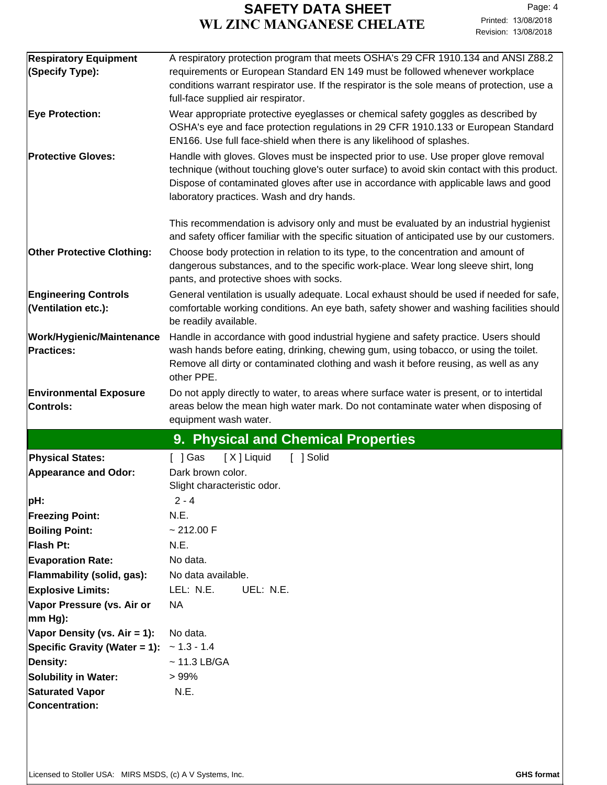| <b>Respiratory Equipment</b>      | A respiratory protection program that meets OSHA's 29 CFR 1910.134 and ANSI Z88.2                                                                                                  |  |  |
|-----------------------------------|------------------------------------------------------------------------------------------------------------------------------------------------------------------------------------|--|--|
| (Specify Type):                   | requirements or European Standard EN 149 must be followed whenever workplace                                                                                                       |  |  |
|                                   | conditions warrant respirator use. If the respirator is the sole means of protection, use a                                                                                        |  |  |
|                                   | full-face supplied air respirator.                                                                                                                                                 |  |  |
| <b>Eye Protection:</b>            | Wear appropriate protective eyeglasses or chemical safety goggles as described by                                                                                                  |  |  |
|                                   | OSHA's eye and face protection regulations in 29 CFR 1910.133 or European Standard                                                                                                 |  |  |
|                                   | EN166. Use full face-shield when there is any likelihood of splashes.                                                                                                              |  |  |
| <b>Protective Gloves:</b>         | Handle with gloves. Gloves must be inspected prior to use. Use proper glove removal<br>technique (without touching glove's outer surface) to avoid skin contact with this product. |  |  |
|                                   | Dispose of contaminated gloves after use in accordance with applicable laws and good                                                                                               |  |  |
|                                   | laboratory practices. Wash and dry hands.                                                                                                                                          |  |  |
|                                   |                                                                                                                                                                                    |  |  |
|                                   | This recommendation is advisory only and must be evaluated by an industrial hygienist                                                                                              |  |  |
|                                   | and safety officer familiar with the specific situation of anticipated use by our customers.                                                                                       |  |  |
| <b>Other Protective Clothing:</b> | Choose body protection in relation to its type, to the concentration and amount of                                                                                                 |  |  |
|                                   | dangerous substances, and to the specific work-place. Wear long sleeve shirt, long                                                                                                 |  |  |
|                                   | pants, and protective shoes with socks.                                                                                                                                            |  |  |
| <b>Engineering Controls</b>       | General ventilation is usually adequate. Local exhaust should be used if needed for safe,                                                                                          |  |  |
| (Ventilation etc.):               | comfortable working conditions. An eye bath, safety shower and washing facilities should                                                                                           |  |  |
|                                   | be readily available.                                                                                                                                                              |  |  |
| <b>Work/Hygienic/Maintenance</b>  | Handle in accordance with good industrial hygiene and safety practice. Users should                                                                                                |  |  |
| Practices:                        | wash hands before eating, drinking, chewing gum, using tobacco, or using the toilet.                                                                                               |  |  |
|                                   | Remove all dirty or contaminated clothing and wash it before reusing, as well as any<br>other PPE.                                                                                 |  |  |
| <b>Environmental Exposure</b>     | Do not apply directly to water, to areas where surface water is present, or to intertidal                                                                                          |  |  |
| Controls:                         | areas below the mean high water mark. Do not contaminate water when disposing of                                                                                                   |  |  |
|                                   | equipment wash water.                                                                                                                                                              |  |  |
|                                   | 9. Physical and Chemical Properties                                                                                                                                                |  |  |
|                                   |                                                                                                                                                                                    |  |  |
|                                   |                                                                                                                                                                                    |  |  |
| <b>Physical States:</b>           | [ X ] Liquid<br>[ ] Solid<br>$[$ ] Gas                                                                                                                                             |  |  |
| <b>Appearance and Odor:</b>       | Dark brown color.                                                                                                                                                                  |  |  |
|                                   | Slight characteristic odor.<br>$2 - 4$                                                                                                                                             |  |  |
| pH:<br><b>Freezing Point:</b>     | N.E.                                                                                                                                                                               |  |  |
| <b>Boiling Point:</b>             | ~212.00 F                                                                                                                                                                          |  |  |
| Flash Pt:                         | N.E.                                                                                                                                                                               |  |  |
| <b>Evaporation Rate:</b>          | No data.                                                                                                                                                                           |  |  |
| Flammability (solid, gas):        | No data available.                                                                                                                                                                 |  |  |
| <b>Explosive Limits:</b>          | LEL: N.E.<br>UEL: N.E.                                                                                                                                                             |  |  |
| Vapor Pressure (vs. Air or        | <b>NA</b>                                                                                                                                                                          |  |  |
| $ mm Hg$ :                        |                                                                                                                                                                                    |  |  |
| Vapor Density (vs. Air = 1):      | No data.                                                                                                                                                                           |  |  |
| Specific Gravity (Water = 1):     | $~1.3 - 1.4$                                                                                                                                                                       |  |  |
| <b>Density:</b>                   | $\sim$ 11.3 LB/GA                                                                                                                                                                  |  |  |
| <b>Solubility in Water:</b>       | >99%                                                                                                                                                                               |  |  |
| <b>Saturated Vapor</b>            | N.E.                                                                                                                                                                               |  |  |
| <b>Concentration:</b>             |                                                                                                                                                                                    |  |  |
|                                   |                                                                                                                                                                                    |  |  |
|                                   |                                                                                                                                                                                    |  |  |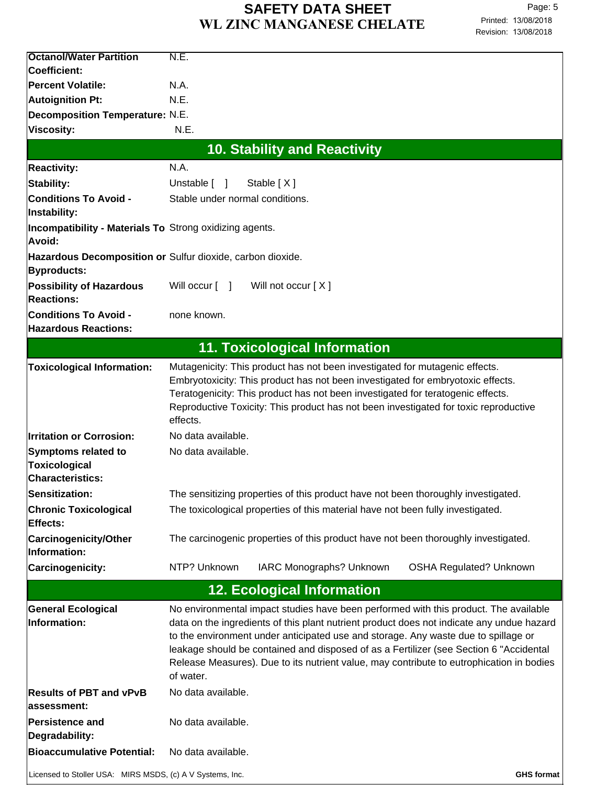| <b>Octanol/Water Partition</b>                                    | N.E.                                                                                                                                                                                                                                                                                                                                                                                                                                                                       |
|-------------------------------------------------------------------|----------------------------------------------------------------------------------------------------------------------------------------------------------------------------------------------------------------------------------------------------------------------------------------------------------------------------------------------------------------------------------------------------------------------------------------------------------------------------|
| Coefficient:                                                      |                                                                                                                                                                                                                                                                                                                                                                                                                                                                            |
| <b>Percent Volatile:</b>                                          | N.A.                                                                                                                                                                                                                                                                                                                                                                                                                                                                       |
| <b>Autoignition Pt:</b>                                           | N.E.                                                                                                                                                                                                                                                                                                                                                                                                                                                                       |
| Decomposition Temperature: N.E.                                   |                                                                                                                                                                                                                                                                                                                                                                                                                                                                            |
| <b>Viscosity:</b>                                                 | N.E.                                                                                                                                                                                                                                                                                                                                                                                                                                                                       |
|                                                                   | <b>10. Stability and Reactivity</b>                                                                                                                                                                                                                                                                                                                                                                                                                                        |
| <b>Reactivity:</b>                                                | N.A.                                                                                                                                                                                                                                                                                                                                                                                                                                                                       |
| <b>Stability:</b>                                                 | Unstable [ ]<br>Stable [X]                                                                                                                                                                                                                                                                                                                                                                                                                                                 |
| <b>Conditions To Avoid -</b><br>Instability:                      | Stable under normal conditions.                                                                                                                                                                                                                                                                                                                                                                                                                                            |
| Incompatibility - Materials To Strong oxidizing agents.<br>Avoid: |                                                                                                                                                                                                                                                                                                                                                                                                                                                                            |
|                                                                   | Hazardous Decomposition or Sulfur dioxide, carbon dioxide.                                                                                                                                                                                                                                                                                                                                                                                                                 |
| <b>Byproducts:</b>                                                |                                                                                                                                                                                                                                                                                                                                                                                                                                                                            |
| <b>Possibility of Hazardous</b><br><b>Reactions:</b>              | Will not occur [X]<br>Will occur [ ]                                                                                                                                                                                                                                                                                                                                                                                                                                       |
| <b>Conditions To Avoid -</b>                                      | none known.                                                                                                                                                                                                                                                                                                                                                                                                                                                                |
| <b>Hazardous Reactions:</b>                                       |                                                                                                                                                                                                                                                                                                                                                                                                                                                                            |
|                                                                   | <b>11. Toxicological Information</b>                                                                                                                                                                                                                                                                                                                                                                                                                                       |
| <b>Toxicological Information:</b>                                 | Mutagenicity: This product has not been investigated for mutagenic effects.<br>Embryotoxicity: This product has not been investigated for embryotoxic effects.<br>Teratogenicity: This product has not been investigated for teratogenic effects.<br>Reproductive Toxicity: This product has not been investigated for toxic reproductive<br>effects.                                                                                                                      |
| <b>Irritation or Corrosion:</b>                                   | No data available.                                                                                                                                                                                                                                                                                                                                                                                                                                                         |
| Symptoms related to                                               | No data available.                                                                                                                                                                                                                                                                                                                                                                                                                                                         |
| <b>Toxicological</b><br><b>Characteristics:</b>                   |                                                                                                                                                                                                                                                                                                                                                                                                                                                                            |
| Sensitization:                                                    | The sensitizing properties of this product have not been thoroughly investigated.                                                                                                                                                                                                                                                                                                                                                                                          |
| <b>Chronic Toxicological</b>                                      | The toxicological properties of this material have not been fully investigated.                                                                                                                                                                                                                                                                                                                                                                                            |
| <b>Effects:</b><br><b>Carcinogenicity/Other</b><br>Information:   | The carcinogenic properties of this product have not been thoroughly investigated.                                                                                                                                                                                                                                                                                                                                                                                         |
| Carcinogenicity:                                                  | NTP? Unknown<br>IARC Monographs? Unknown<br><b>OSHA Regulated? Unknown</b>                                                                                                                                                                                                                                                                                                                                                                                                 |
|                                                                   | <b>12. Ecological Information</b>                                                                                                                                                                                                                                                                                                                                                                                                                                          |
| <b>General Ecological</b><br>Information:                         | No environmental impact studies have been performed with this product. The available<br>data on the ingredients of this plant nutrient product does not indicate any undue hazard<br>to the environment under anticipated use and storage. Any waste due to spillage or<br>leakage should be contained and disposed of as a Fertilizer (see Section 6 "Accidental<br>Release Measures). Due to its nutrient value, may contribute to eutrophication in bodies<br>of water. |
| <b>Results of PBT and vPvB</b><br>assessment:                     | No data available.                                                                                                                                                                                                                                                                                                                                                                                                                                                         |
| <b>Persistence and</b><br>Degradability:                          | No data available.                                                                                                                                                                                                                                                                                                                                                                                                                                                         |
| <b>Bioaccumulative Potential:</b>                                 | No data available.                                                                                                                                                                                                                                                                                                                                                                                                                                                         |
| Licensed to Stoller USA: MIRS MSDS, (c) A V Systems, Inc.         | <b>GHS format</b>                                                                                                                                                                                                                                                                                                                                                                                                                                                          |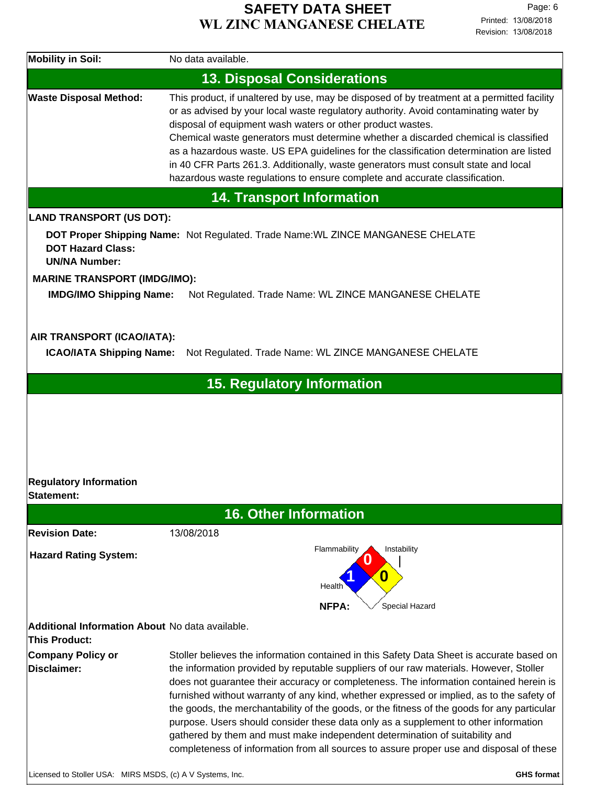| <b>Mobility in Soil:</b>                                         | No data available.                                                                                                                                                                                                                                                                                                                                                                                                                                                                                                                                                                                                                                                                                                                         |                   |
|------------------------------------------------------------------|--------------------------------------------------------------------------------------------------------------------------------------------------------------------------------------------------------------------------------------------------------------------------------------------------------------------------------------------------------------------------------------------------------------------------------------------------------------------------------------------------------------------------------------------------------------------------------------------------------------------------------------------------------------------------------------------------------------------------------------------|-------------------|
|                                                                  | <b>13. Disposal Considerations</b>                                                                                                                                                                                                                                                                                                                                                                                                                                                                                                                                                                                                                                                                                                         |                   |
| <b>Waste Disposal Method:</b>                                    | This product, if unaltered by use, may be disposed of by treatment at a permitted facility<br>or as advised by your local waste regulatory authority. Avoid contaminating water by<br>disposal of equipment wash waters or other product wastes.<br>Chemical waste generators must determine whether a discarded chemical is classified<br>as a hazardous waste. US EPA guidelines for the classification determination are listed<br>in 40 CFR Parts 261.3. Additionally, waste generators must consult state and local<br>hazardous waste regulations to ensure complete and accurate classification.                                                                                                                                    |                   |
|                                                                  | <b>14. Transport Information</b>                                                                                                                                                                                                                                                                                                                                                                                                                                                                                                                                                                                                                                                                                                           |                   |
| <b>LAND TRANSPORT (US DOT):</b>                                  |                                                                                                                                                                                                                                                                                                                                                                                                                                                                                                                                                                                                                                                                                                                                            |                   |
| <b>DOT Hazard Class:</b><br><b>UN/NA Number:</b>                 | DOT Proper Shipping Name: Not Regulated. Trade Name: WL ZINCE MANGANESE CHELATE                                                                                                                                                                                                                                                                                                                                                                                                                                                                                                                                                                                                                                                            |                   |
| <b>MARINE TRANSPORT (IMDG/IMO):</b>                              |                                                                                                                                                                                                                                                                                                                                                                                                                                                                                                                                                                                                                                                                                                                                            |                   |
| <b>IMDG/IMO Shipping Name:</b>                                   | Not Regulated. Trade Name: WL ZINCE MANGANESE CHELATE                                                                                                                                                                                                                                                                                                                                                                                                                                                                                                                                                                                                                                                                                      |                   |
|                                                                  |                                                                                                                                                                                                                                                                                                                                                                                                                                                                                                                                                                                                                                                                                                                                            |                   |
| AIR TRANSPORT (ICAO/IATA):                                       |                                                                                                                                                                                                                                                                                                                                                                                                                                                                                                                                                                                                                                                                                                                                            |                   |
| <b>ICAO/IATA Shipping Name:</b>                                  | Not Regulated. Trade Name: WL ZINCE MANGANESE CHELATE                                                                                                                                                                                                                                                                                                                                                                                                                                                                                                                                                                                                                                                                                      |                   |
|                                                                  | <b>15. Regulatory Information</b>                                                                                                                                                                                                                                                                                                                                                                                                                                                                                                                                                                                                                                                                                                          |                   |
|                                                                  |                                                                                                                                                                                                                                                                                                                                                                                                                                                                                                                                                                                                                                                                                                                                            |                   |
|                                                                  |                                                                                                                                                                                                                                                                                                                                                                                                                                                                                                                                                                                                                                                                                                                                            |                   |
|                                                                  |                                                                                                                                                                                                                                                                                                                                                                                                                                                                                                                                                                                                                                                                                                                                            |                   |
|                                                                  |                                                                                                                                                                                                                                                                                                                                                                                                                                                                                                                                                                                                                                                                                                                                            |                   |
|                                                                  |                                                                                                                                                                                                                                                                                                                                                                                                                                                                                                                                                                                                                                                                                                                                            |                   |
| <b>Regulatory Information</b>                                    |                                                                                                                                                                                                                                                                                                                                                                                                                                                                                                                                                                                                                                                                                                                                            |                   |
| Statement:                                                       |                                                                                                                                                                                                                                                                                                                                                                                                                                                                                                                                                                                                                                                                                                                                            |                   |
|                                                                  | <b>16. Other Information</b>                                                                                                                                                                                                                                                                                                                                                                                                                                                                                                                                                                                                                                                                                                               |                   |
| <b>Revision Date:</b>                                            | 13/08/2018                                                                                                                                                                                                                                                                                                                                                                                                                                                                                                                                                                                                                                                                                                                                 |                   |
| <b>Hazard Rating System:</b>                                     | Flammability<br>Instability<br>0<br>Health                                                                                                                                                                                                                                                                                                                                                                                                                                                                                                                                                                                                                                                                                                 |                   |
|                                                                  | <b>NFPA:</b><br>Special Hazard                                                                                                                                                                                                                                                                                                                                                                                                                                                                                                                                                                                                                                                                                                             |                   |
| Additional Information About No data available.<br>This Product: |                                                                                                                                                                                                                                                                                                                                                                                                                                                                                                                                                                                                                                                                                                                                            |                   |
| Company Policy or<br><b>Disclaimer:</b>                          | Stoller believes the information contained in this Safety Data Sheet is accurate based on<br>the information provided by reputable suppliers of our raw materials. However, Stoller<br>does not guarantee their accuracy or completeness. The information contained herein is<br>furnished without warranty of any kind, whether expressed or implied, as to the safety of<br>the goods, the merchantability of the goods, or the fitness of the goods for any particular<br>purpose. Users should consider these data only as a supplement to other information<br>gathered by them and must make independent determination of suitability and<br>completeness of information from all sources to assure proper use and disposal of these |                   |
| Licensed to Stoller USA: MIRS MSDS, (c) A V Systems, Inc.        |                                                                                                                                                                                                                                                                                                                                                                                                                                                                                                                                                                                                                                                                                                                                            | <b>GHS format</b> |